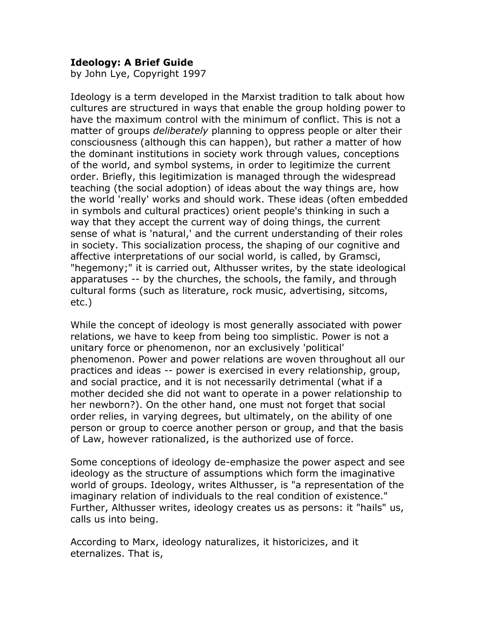## **Ideology: A Brief Guide**

by John Lye, Copyright 1997

Ideology is a term developed in the Marxist tradition to talk about how cultures are structured in ways that enable the group holding power to have the maximum control with the minimum of conflict. This is not a matter of groups *deliberately* planning to oppress people or alter their consciousness (although this can happen), but rather a matter of how the dominant institutions in society work through values, conceptions of the world, and symbol systems, in order to legitimize the current order. Briefly, this legitimization is managed through the widespread teaching (the social adoption) of ideas about the way things are, how the world 'really' works and should work. These ideas (often embedded in symbols and cultural practices) orient people's thinking in such a way that they accept the current way of doing things, the current sense of what is 'natural,' and the current understanding of their roles in society. This socialization process, the shaping of our cognitive and affective interpretations of our social world, is called, by Gramsci, "hegemony;" it is carried out, Althusser writes, by the state ideological apparatuses -- by the churches, the schools, the family, and through cultural forms (such as literature, rock music, advertising, sitcoms, etc.)

While the concept of ideology is most generally associated with power relations, we have to keep from being too simplistic. Power is not a unitary force or phenomenon, nor an exclusively 'political' phenomenon. Power and power relations are woven throughout all our practices and ideas -- power is exercised in every relationship, group, and social practice, and it is not necessarily detrimental (what if a mother decided she did not want to operate in a power relationship to her newborn?). On the other hand, one must not forget that social order relies, in varying degrees, but ultimately, on the ability of one person or group to coerce another person or group, and that the basis of Law, however rationalized, is the authorized use of force.

Some conceptions of ideology de-emphasize the power aspect and see ideology as the structure of assumptions which form the imaginative world of groups. Ideology, writes Althusser, is "a representation of the imaginary relation of individuals to the real condition of existence." Further, Althusser writes, ideology creates us as persons: it "hails" us, calls us into being.

According to Marx, ideology naturalizes, it historicizes, and it eternalizes. That is,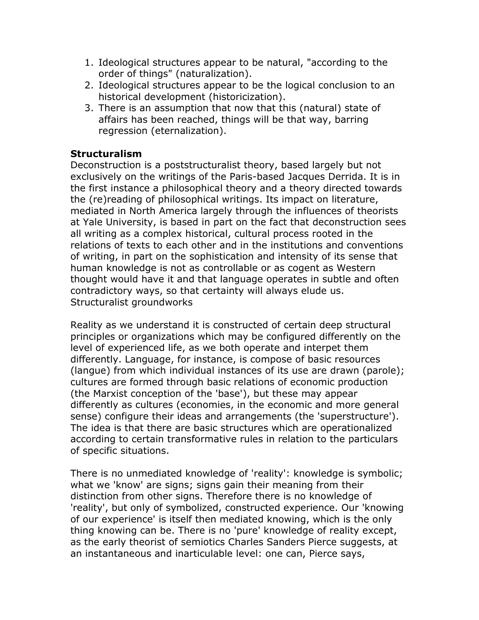- 1. Ideological structures appear to be natural, "according to the order of things" (naturalization).
- 2. Ideological structures appear to be the logical conclusion to an historical development (historicization).
- 3. There is an assumption that now that this (natural) state of affairs has been reached, things will be that way, barring regression (eternalization).

## **Structuralism**

Deconstruction is a poststructuralist theory, based largely but not exclusively on the writings of the Paris-based Jacques Derrida. It is in the first instance a philosophical theory and a theory directed towards the (re)reading of philosophical writings. Its impact on literature, mediated in North America largely through the influences of theorists at Yale University, is based in part on the fact that deconstruction sees all writing as a complex historical, cultural process rooted in the relations of texts to each other and in the institutions and conventions of writing, in part on the sophistication and intensity of its sense that human knowledge is not as controllable or as cogent as Western thought would have it and that language operates in subtle and often contradictory ways, so that certainty will always elude us. Structuralist groundworks

Reality as we understand it is constructed of certain deep structural principles or organizations which may be configured differently on the level of experienced life, as we both operate and interpet them differently. Language, for instance, is compose of basic resources (langue) from which individual instances of its use are drawn (parole); cultures are formed through basic relations of economic production (the Marxist conception of the 'base'), but these may appear differently as cultures (economies, in the economic and more general sense) configure their ideas and arrangements (the 'superstructure'). The idea is that there are basic structures which are operationalized according to certain transformative rules in relation to the particulars of specific situations.

There is no unmediated knowledge of 'reality': knowledge is symbolic; what we 'know' are signs; signs gain their meaning from their distinction from other signs. Therefore there is no knowledge of 'reality', but only of symbolized, constructed experience. Our 'knowing of our experience' is itself then mediated knowing, which is the only thing knowing can be. There is no 'pure' knowledge of reality except, as the early theorist of semiotics Charles Sanders Pierce suggests, at an instantaneous and inarticulable level: one can, Pierce says,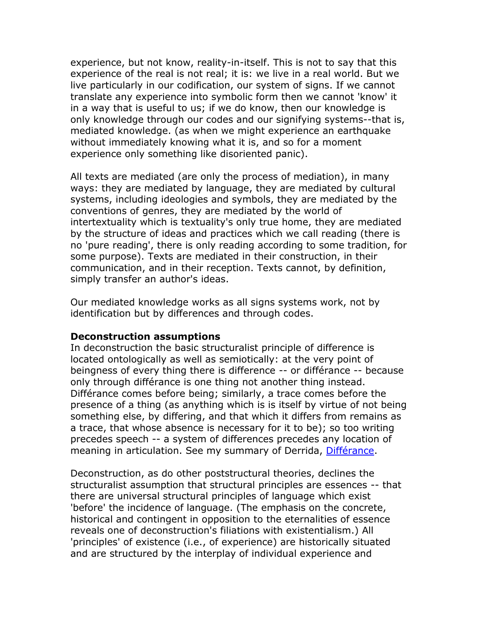experience, but not know, reality-in-itself. This is not to say that this experience of the real is not real; it is: we live in a real world. But we live particularly in our codification, our system of signs. If we cannot translate any experience into symbolic form then we cannot 'know' it in a way that is useful to us; if we do know, then our knowledge is only knowledge through our codes and our signifying systems--that is, mediated knowledge. (as when we might experience an earthquake without immediately knowing what it is, and so for a moment experience only something like disoriented panic).

All texts are mediated (are only the process of mediation), in many ways: they are mediated by language, they are mediated by cultural systems, including ideologies and symbols, they are mediated by the conventions of genres, they are mediated by the world of intertextuality which is textuality's only true home, they are mediated by the structure of ideas and practices which we call reading (there is no 'pure reading', there is only reading according to some tradition, for some purpose). Texts are mediated in their construction, in their communication, and in their reception. Texts cannot, by definition, simply transfer an author's ideas.

Our mediated knowledge works as all signs systems work, not by identification but by differences and through codes.

## **Deconstruction assumptions**

In deconstruction the basic structuralist principle of difference is located ontologically as well as semiotically: at the very point of beingness of every thing there is difference -- or différance -- because only through différance is one thing not another thing instead. Différance comes before being; similarly, a trace comes before the presence of a thing (as anything which is is itself by virtue of not being something else, by differing, and that which it differs from remains as a trace, that whose absence is necessary for it to be); so too writing precedes speech -- a system of differences precedes any location of meaning in articulation. See my summary of Derrida, [Différance.](https://brocku.ca/english/courses/4F70/diffr.php)

Deconstruction, as do other poststructural theories, declines the structuralist assumption that structural principles are essences -- that there are universal structural principles of language which exist 'before' the incidence of language. (The emphasis on the concrete, historical and contingent in opposition to the eternalities of essence reveals one of deconstruction's filiations with existentialism.) All 'principles' of existence (i.e., of experience) are historically situated and are structured by the interplay of individual experience and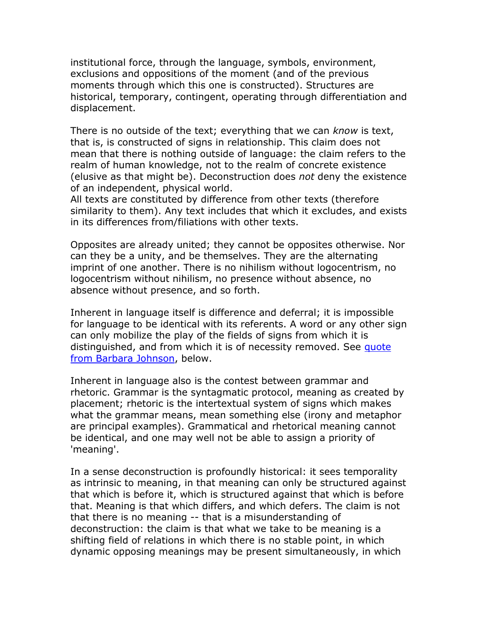institutional force, through the language, symbols, environment, exclusions and oppositions of the moment (and of the previous moments through which this one is constructed). Structures are historical, temporary, contingent, operating through differentiation and displacement.

There is no outside of the text; everything that we can *know* is text, that is, is constructed of signs in relationship. This claim does not mean that there is nothing outside of language: the claim refers to the realm of human knowledge, not to the realm of concrete existence (elusive as that might be). Deconstruction does *not* deny the existence of an independent, physical world.

All texts are constituted by difference from other texts (therefore similarity to them). Any text includes that which it excludes, and exists in its differences from/filiations with other texts.

Opposites are already united; they cannot be opposites otherwise. Nor can they be a unity, and be themselves. They are the alternating imprint of one another. There is no nihilism without logocentrism, no logocentrism without nihilism, no presence without absence, no absence without presence, and so forth.

Inherent in language itself is difference and deferral; it is impossible for language to be identical with its referents. A word or any other sign can only mobilize the play of the fields of signs from which it is distinguished, and from which it is of necessity removed. See [quote](https://brocku.ca/english/courses/4F70/deconstruction.php#bj)  [from Barbara Johnson,](https://brocku.ca/english/courses/4F70/deconstruction.php#bj) below.

Inherent in language also is the contest between grammar and rhetoric. Grammar is the syntagmatic protocol, meaning as created by placement; rhetoric is the intertextual system of signs which makes what the grammar means, mean something else (irony and metaphor are principal examples). Grammatical and rhetorical meaning cannot be identical, and one may well not be able to assign a priority of 'meaning'.

In a sense deconstruction is profoundly historical: it sees temporality as intrinsic to meaning, in that meaning can only be structured against that which is before it, which is structured against that which is before that. Meaning is that which differs, and which defers. The claim is not that there is no meaning -- that is a misunderstanding of deconstruction: the claim is that what we take to be meaning is a shifting field of relations in which there is no stable point, in which dynamic opposing meanings may be present simultaneously, in which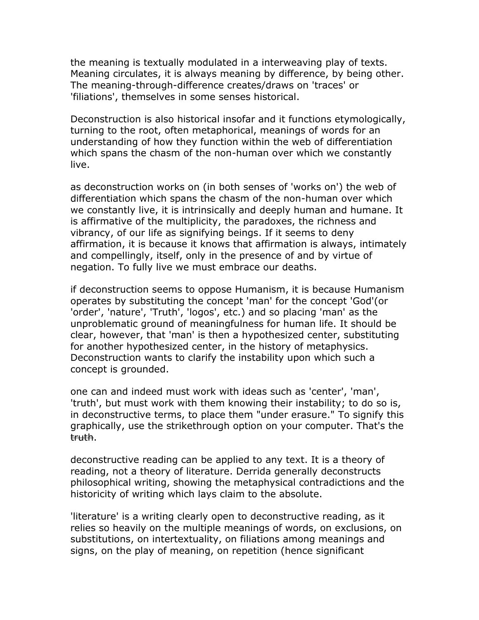the meaning is textually modulated in a interweaving play of texts. Meaning circulates, it is always meaning by difference, by being other. The meaning-through-difference creates/draws on 'traces' or 'filiations', themselves in some senses historical.

Deconstruction is also historical insofar and it functions etymologically, turning to the root, often metaphorical, meanings of words for an understanding of how they function within the web of differentiation which spans the chasm of the non-human over which we constantly live.

as deconstruction works on (in both senses of 'works on') the web of differentiation which spans the chasm of the non-human over which we constantly live, it is intrinsically and deeply human and humane. It is affirmative of the multiplicity, the paradoxes, the richness and vibrancy, of our life as signifying beings. If it seems to deny affirmation, it is because it knows that affirmation is always, intimately and compellingly, itself, only in the presence of and by virtue of negation. To fully live we must embrace our deaths.

if deconstruction seems to oppose Humanism, it is because Humanism operates by substituting the concept 'man' for the concept 'God'(or 'order', 'nature', 'Truth', 'logos', etc.) and so placing 'man' as the unproblematic ground of meaningfulness for human life. It should be clear, however, that 'man' is then a hypothesized center, substituting for another hypothesized center, in the history of metaphysics. Deconstruction wants to clarify the instability upon which such a concept is grounded.

one can and indeed must work with ideas such as 'center', 'man', 'truth', but must work with them knowing their instability; to do so is, in deconstructive terms, to place them "under erasure." To signify this graphically, use the strikethrough option on your computer. That's the truth.

deconstructive reading can be applied to any text. It is a theory of reading, not a theory of literature. Derrida generally deconstructs philosophical writing, showing the metaphysical contradictions and the historicity of writing which lays claim to the absolute.

'literature' is a writing clearly open to deconstructive reading, as it relies so heavily on the multiple meanings of words, on exclusions, on substitutions, on intertextuality, on filiations among meanings and signs, on the play of meaning, on repetition (hence significant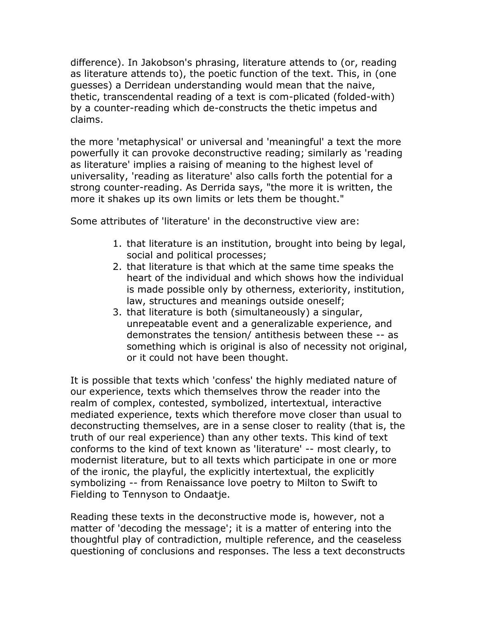difference). In Jakobson's phrasing, literature attends to (or, reading as literature attends to), the poetic function of the text. This, in (one guesses) a Derridean understanding would mean that the naive, thetic, transcendental reading of a text is com-plicated (folded-with) by a counter-reading which de-constructs the thetic impetus and claims.

the more 'metaphysical' or universal and 'meaningful' a text the more powerfully it can provoke deconstructive reading; similarly as 'reading as literature' implies a raising of meaning to the highest level of universality, 'reading as literature' also calls forth the potential for a strong counter-reading. As Derrida says, "the more it is written, the more it shakes up its own limits or lets them be thought."

Some attributes of 'literature' in the deconstructive view are:

- 1. that literature is an institution, brought into being by legal, social and political processes;
- 2. that literature is that which at the same time speaks the heart of the individual and which shows how the individual is made possible only by otherness, exteriority, institution, law, structures and meanings outside oneself;
- 3. that literature is both (simultaneously) a singular, unrepeatable event and a generalizable experience, and demonstrates the tension/ antithesis between these -- as something which is original is also of necessity not original, or it could not have been thought.

It is possible that texts which 'confess' the highly mediated nature of our experience, texts which themselves throw the reader into the realm of complex, contested, symbolized, intertextual, interactive mediated experience, texts which therefore move closer than usual to deconstructing themselves, are in a sense closer to reality (that is, the truth of our real experience) than any other texts. This kind of text conforms to the kind of text known as 'literature' -- most clearly, to modernist literature, but to all texts which participate in one or more of the ironic, the playful, the explicitly intertextual, the explicitly symbolizing -- from Renaissance love poetry to Milton to Swift to Fielding to Tennyson to Ondaatje.

Reading these texts in the deconstructive mode is, however, not a matter of 'decoding the message'; it is a matter of entering into the thoughtful play of contradiction, multiple reference, and the ceaseless questioning of conclusions and responses. The less a text deconstructs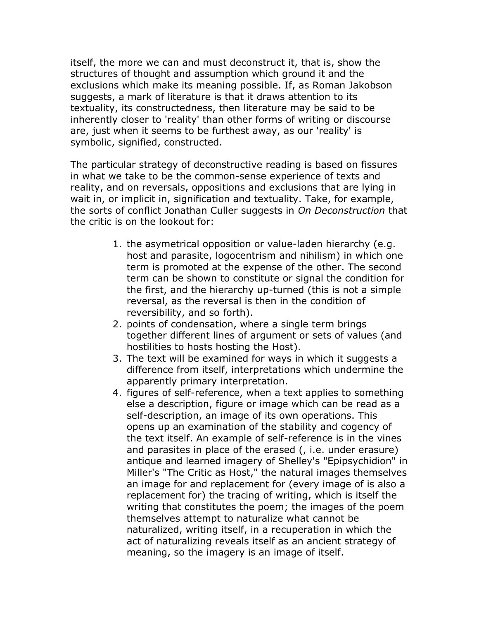itself, the more we can and must deconstruct it, that is, show the structures of thought and assumption which ground it and the exclusions which make its meaning possible. If, as Roman Jakobson suggests, a mark of literature is that it draws attention to its textuality, its constructedness, then literature may be said to be inherently closer to 'reality' than other forms of writing or discourse are, just when it seems to be furthest away, as our 'reality' is symbolic, signified, constructed.

The particular strategy of deconstructive reading is based on fissures in what we take to be the common-sense experience of texts and reality, and on reversals, oppositions and exclusions that are lying in wait in, or implicit in, signification and textuality. Take, for example, the sorts of conflict Jonathan Culler suggests in *On Deconstruction* that the critic is on the lookout for:

- 1. the asymetrical opposition or value-laden hierarchy (e.g. host and parasite, logocentrism and nihilism) in which one term is promoted at the expense of the other. The second term can be shown to constitute or signal the condition for the first, and the hierarchy up-turned (this is not a simple reversal, as the reversal is then in the condition of reversibility, and so forth).
- 2. points of condensation, where a single term brings together different lines of argument or sets of values (and hostilities to hosts hosting the Host).
- 3. The text will be examined for ways in which it suggests a difference from itself, interpretations which undermine the apparently primary interpretation.
- 4. figures of self-reference, when a text applies to something else a description, figure or image which can be read as a self-description, an image of its own operations. This opens up an examination of the stability and cogency of the text itself. An example of self-reference is in the vines and parasites in place of the erased (, i.e. under erasure) antique and learned imagery of Shelley's "Epipsychidion" in Miller's "The Critic as Host," the natural images themselves an image for and replacement for (every image of is also a replacement for) the tracing of writing, which is itself the writing that constitutes the poem; the images of the poem themselves attempt to naturalize what cannot be naturalized, writing itself, in a recuperation in which the act of naturalizing reveals itself as an ancient strategy of meaning, so the imagery is an image of itself.